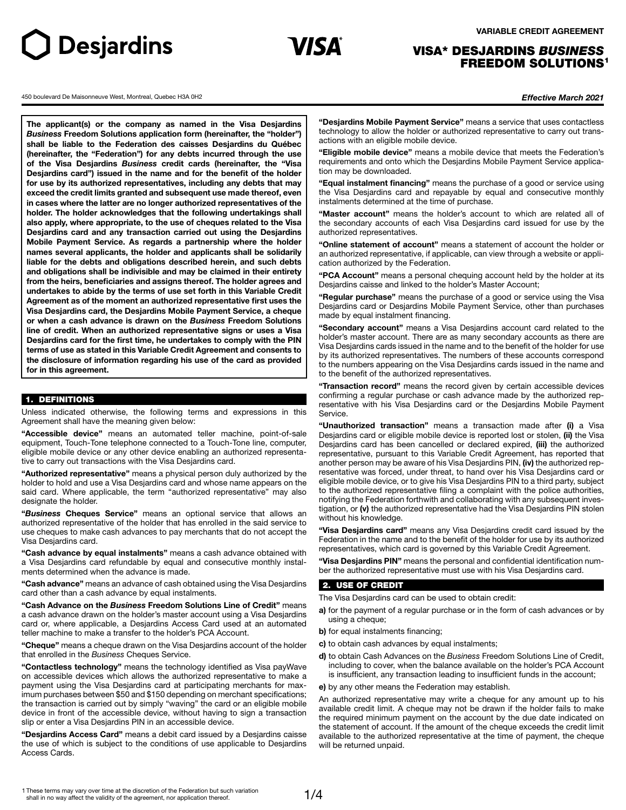# **VARIABLE CREDIT AGREEMENT**



# VISA\* DESJARDINS *BUSINESS* FREEDOM SOLUTIONS<sup>1</sup>

450 boulevard De Maisonneuve West, Montreal, Quebec H3A 0H2 *Effective March 2021*

**J** Desjardins

**The applicant(s) or the company as named in the Visa Desjardins**  *Business* **Freedom Solutions application form (hereinafter, the "holder") shall be liable to the Federation des caisses Desjardins du Québec (hereinafter, the "Federation") for any debts incurred through the use of the Visa Desjardins** *Business* **credit cards (hereinafter, the "Visa Desjardins card") issued in the name and for the benefit of the holder for use by its authorized representatives, including any debts that may exceed the credit limits granted and subsequent use made thereof, even in cases where the latter are no longer authorized representatives of the holder. The holder acknowledges that the following undertakings shall also apply, where appropriate, to the use of cheques related to the Visa Desjardins card and any transaction carried out using the Desjardins Mobile Payment Service. As regards a partnership where the holder names several applicants, the holder and applicants shall be solidarily liable for the debts and obligations described herein, and such debts and obligations shall be indivisible and may be claimed in their entirety from the heirs, beneficiaries and assigns thereof. The holder agrees and undertakes to abide by the terms of use set forth in this Variable Credit Agreement as of the moment an authorized representative first uses the Visa Desjardins card, the Desjardins Mobile Payment Service, a cheque or when a cash advance is drawn on the** *Business* **Freedom Solutions line of credit. When an authorized representative signs or uses a Visa Desjardins card for the first time, he undertakes to comply with the PIN terms of use as stated in this Variable Credit Agreement and consents to the disclosure of information regarding his use of the card as provided for in this agreement.**

### 1. DEFINITIONS

Unless indicated otherwise, the following terms and expressions in this Agreement shall have the meaning given below:

**"Accessible device"** means an automated teller machine, point-of-sale equipment, Touch-Tone telephone connected to a Touch-Tone line, computer, eligible mobile device or any other device enabling an authorized representative to carry out transactions with the Visa Desjardins card.

**"Authorized representative"** means a physical person duly authorized by the holder to hold and use a Visa Desjardins card and whose name appears on the said card. Where applicable, the term "authorized representative" may also designate the holder.

**"***Business* **Cheques Service"** means an optional service that allows an authorized representative of the holder that has enrolled in the said service to use cheques to make cash advances to pay merchants that do not accept the Visa Desjardins card.

**"Cash advance by equal instalments"** means a cash advance obtained with a Visa Desjardins card refundable by equal and consecutive monthly instalments determined when the advance is made.

**"Cash advance"** means an advance of cash obtained using the Visa Desjardins card other than a cash advance by equal instalments.

**"Cash Advance on the** *Business* **Freedom Solutions Line of Credit"** means a cash advance drawn on the holder's master account using a Visa Desjardins card or, where applicable, a Desjardins Access Card used at an automated teller machine to make a transfer to the holder's PCA Account.

**"Cheque"** means a cheque drawn on the Visa Desjardins account of the holder that enrolled in the *Business* Cheques Service.

**"Contactless technology"** means the technology identified as Visa payWave on accessible devices which allows the authorized representative to make a payment using the Visa Desjardins card at participating merchants for maximum purchases between \$50 and \$150 depending on merchant specifications; the transaction is carried out by simply "waving" the card or an eligible mobile device in front of the accessible device, without having to sign a transaction slip or enter a Visa Desjardins PIN in an accessible device.

**"Desjardins Access Card"** means a debit card issued by a Desjardins caisse the use of which is subject to the conditions of use applicable to Desjardins Access Cards.

**"Desjardins Mobile Payment Service"** means a service that uses contactless technology to allow the holder or authorized representative to carry out transactions with an eligible mobile device.

**"Eligible mobile device"** means a mobile device that meets the Federation's requirements and onto which the Desjardins Mobile Payment Service application may be downloaded.

**"Equal instalment financing"** means the purchase of a good or service using the Visa Desjardins card and repayable by equal and consecutive monthly instalments determined at the time of purchase.

**"Master account"** means the holder's account to which are related all of the secondary accounts of each Visa Desjardins card issued for use by the authorized representatives.

**"Online statement of account"** means a statement of account the holder or an authorized representative, if applicable, can view through a website or application authorized by the Federation.

**"PCA Account"** means a personal chequing account held by the holder at its Desjardins caisse and linked to the holder's Master Account;

**"Regular purchase"** means the purchase of a good or service using the Visa Desjardins card or Desjardins Mobile Payment Service, other than purchases made by equal instalment financing.

**"Secondary account"** means a Visa Desjardins account card related to the holder's master account. There are as many secondary accounts as there are Visa Desjardins cards issued in the name and to the benefit of the holder for use by its authorized representatives. The numbers of these accounts correspond to the numbers appearing on the Visa Desjardins cards issued in the name and to the benefit of the authorized representatives.

**"Transaction record"** means the record given by certain accessible devices confirming a regular purchase or cash advance made by the authorized representative with his Visa Desjardins card or the Desjardins Mobile Payment Service.

**"Unauthorized transaction"** means a transaction made after **(i)** a Visa Desjardins card or eligible mobile device is reported lost or stolen, **(ii)** the Visa Desjardins card has been cancelled or declared expired, **(iii)** the authorized representative, pursuant to this Variable Credit Agreement, has reported that another person may be aware of his Visa Desjardins PIN, **(iv)** the authorized representative was forced, under threat, to hand over his Visa Desjardins card or eligible mobile device, or to give his Visa Desjardins PIN to a third party, subject to the authorized representative filing a complaint with the police authorities, notifying the Federation forthwith and collaborating with any subsequent investigation, or **(v)** the authorized representative had the Visa Desjardins PIN stolen without his knowledge.

**"Visa Desjardins card"** means any Visa Desjardins credit card issued by the Federation in the name and to the benefit of the holder for use by its authorized representatives, which card is governed by this Variable Credit Agreement.

**"Visa Desjardins PIN"** means the personal and confidential identification number the authorized representative must use with his Visa Desjardins card.

# 2. USE OF CREDIT

The Visa Desjardins card can be used to obtain credit:

- **a)** for the payment of a regular purchase or in the form of cash advances or by using a cheque;
- **b)** for equal instalments financing;
- **c)** to obtain cash advances by equal instalments;
- **d)** to obtain Cash Advances on the *Business* Freedom Solutions Line of Credit, including to cover, when the balance available on the holder's PCA Account is insufficient, any transaction leading to insufficient funds in the account;
- **e)** by any other means the Federation may establish.

An authorized representative may write a cheque for any amount up to his available credit limit. A cheque may not be drawn if the holder fails to make the required minimum payment on the account by the due date indicated on the statement of account. If the amount of the cheque exceeds the credit limit available to the authorized representative at the time of payment, the cheque will be returned unpaid.

1 These terms may vary over time at the discretion of the Federation but such variation shall in no way affect the validity of the agreement, nor application thereof.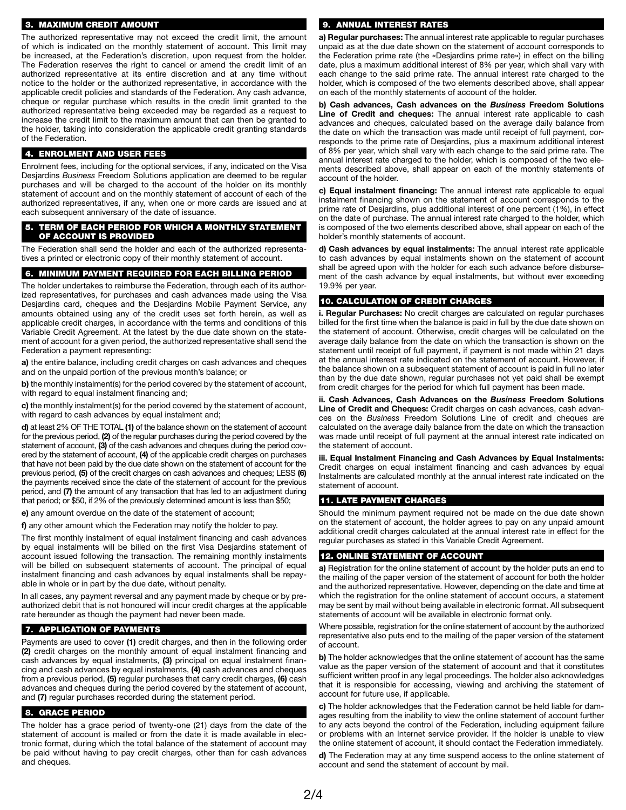# 3. MAXIMUM CREDIT AMOUNT

The authorized representative may not exceed the credit limit, the amount of which is indicated on the monthly statement of account. This limit may be increased, at the Federation's discretion, upon request from the holder. The Federation reserves the right to cancel or amend the credit limit of an authorized representative at its entire discretion and at any time without notice to the holder or the authorized representative, in accordance with the applicable credit policies and standards of the Federation. Any cash advance, cheque or regular purchase which results in the credit limit granted to the authorized representative being exceeded may be regarded as a request to increase the credit limit to the maximum amount that can then be granted to the holder, taking into consideration the applicable credit granting standards of the Federation.

# 4. ENROLMENT AND USER FEES

Enrolment fees, including for the optional services, if any, indicated on the Visa Desjardins *Business* Freedom Solutions application are deemed to be regular purchases and will be charged to the account of the holder on its monthly statement of account and on the monthly statement of account of each of the authorized representatives, if any, when one or more cards are issued and at each subsequent anniversary of the date of issuance.

#### 5. TERM OF EACH PERIOD FOR WHICH A MONTHLY STATEMENT OF ACCOUNT IS PROVIDED

The Federation shall send the holder and each of the authorized representatives a printed or electronic copy of their monthly statement of account.

### 6. MINIMUM PAYMENT REQUIRED FOR EACH BILLING PERIOD

The holder undertakes to reimburse the Federation, through each of its authorized representatives, for purchases and cash advances made using the Visa Desjardins card, cheques and the Desjardins Mobile Payment Service, any amounts obtained using any of the credit uses set forth herein, as well as applicable credit charges, in accordance with the terms and conditions of this Variable Credit Agreement. At the latest by the due date shown on the statement of account for a given period, the authorized representative shall send the Federation a payment representing:

**a)** the entire balance, including credit charges on cash advances and cheques and on the unpaid portion of the previous month's balance; or

**b)** the monthly instalment(s) for the period covered by the statement of account, with regard to equal instalment financing and;

**c)** the monthly instalment(s) for the period covered by the statement of account, with regard to cash advances by equal instalment and;

**d)** at least 2% OF THE TOTAL **(1)** of the balance shown on the statement of account for the previous period, **(2)** of the regular purchases during the period covered by the statement of account, **(3)** of the cash advances and cheques during the period covered by the statement of account, **(4)** of the applicable credit charges on purchases that have not been paid by the due date shown on the statement of account for the previous period, **(5)** of the credit charges on cash advances and cheques; LESS **(6)**  the payments received since the date of the statement of account for the previous period, and **(7)** the amount of any transaction that has led to an adjustment during that period; or \$50, if 2% of the previously determined amount is less than \$50;

**e)** any amount overdue on the date of the statement of account;

**f)** any other amount which the Federation may notify the holder to pay.

The first monthly instalment of equal instalment financing and cash advances by equal instalments will be billed on the first Visa Desjardins statement of account issued following the transaction. The remaining monthly instalments will be billed on subsequent statements of account. The principal of equal instalment financing and cash advances by equal instalments shall be repayable in whole or in part by the due date, without penalty.

In all cases, any payment reversal and any payment made by cheque or by preauthorized debit that is not honoured will incur credit charges at the applicable rate hereunder as though the payment had never been made.

# 7. APPLICATION OF PAYMENTS

Payments are used to cover **(1)** credit charges, and then in the following order **(2)** credit charges on the monthly amount of equal instalment financing and cash advances by equal instalments, **(3)** principal on equal instalment financing and cash advances by equal instalments, **(4)** cash advances and cheques from a previous period, **(5)** regular purchases that carry credit charges, **(6)** cash advances and cheques during the period covered by the statement of account, and **(7)** regular purchases recorded during the statement period.

### 8. GRACE PERIOD

The holder has a grace period of twenty-one (21) days from the date of the statement of account is mailed or from the date it is made available in electronic format, during which the total balance of the statement of account may be paid without having to pay credit charges, other than for cash advances and cheques.

#### 9. ANNUAL INTEREST RATES

**a) Regular purchases:** The annual interest rate applicable to regular purchases unpaid as at the due date shown on the statement of account corresponds to the Federation prime rate (the «Desjardins prime rate») in effect on the billing date, plus a maximum additional interest of 8% per year, which shall vary with each change to the said prime rate. The annual interest rate charged to the holder, which is composed of the two elements described above, shall appear on each of the monthly statements of account of the holder.

**b) Cash advances, Cash advances on the** *Business* **Freedom Solutions Line of Credit and cheques:** The annual interest rate applicable to cash advances and cheques, calculated based on the average daily balance from the date on which the transaction was made until receipt of full payment, corresponds to the prime rate of Desjardins, plus a maximum additional interest of 8% per year, which shall vary with each change to the said prime rate. The annual interest rate charged to the holder, which is composed of the two elements described above, shall appear on each of the monthly statements of account of the holder.

**c) Equal instalment financing:** The annual interest rate applicable to equal instalment financing shown on the statement of account corresponds to the prime rate of Desjardins, plus additional interest of one percent (1%), in effect on the date of purchase. The annual interest rate charged to the holder, which is composed of the two elements described above, shall appear on each of the holder's monthly statements of account.

**d) Cash advances by equal instalments:** The annual interest rate applicable to cash advances by equal instalments shown on the statement of account shall be agreed upon with the holder for each such advance before disbursement of the cash advance by equal instalments, but without ever exceeding 19.9% per year.

### 10. CALCULATION OF CREDIT CHARGES

**i. Regular Purchases:** No credit charges are calculated on regular purchases billed for the first time when the balance is paid in full by the due date shown on the statement of account. Otherwise, credit charges will be calculated on the average daily balance from the date on which the transaction is shown on the statement until receipt of full payment, if payment is not made within 21 days at the annual interest rate indicated on the statement of account. However, if the balance shown on a subsequent statement of account is paid in full no later than by the due date shown, regular purchases not yet paid shall be exempt from credit charges for the period for which full payment has been made.

**ii. Cash Advances, Cash Advances on the** *Business* **Freedom Solutions Line of Credit and Cheques:** Credit charges on cash advances, cash advances on the *Business* Freedom Solutions Line of credit and cheques are calculated on the average daily balance from the date on which the transaction was made until receipt of full payment at the annual interest rate indicated on the statement of account.

**iii. Equal Instalment Financing and Cash Advances by Equal Instalments:**  Credit charges on equal instalment financing and cash advances by equal Instalments are calculated monthly at the annual interest rate indicated on the statement of account.

#### 11. LATE PAYMENT CHARGES

Should the minimum payment required not be made on the due date shown on the statement of account, the holder agrees to pay on any unpaid amount additional credit charges calculated at the annual interest rate in effect for the regular purchases as stated in this Variable Credit Agreement.

# 12. ONLINE STATEMENT OF ACCOUNT

**a)** Registration for the online statement of account by the holder puts an end to the mailing of the paper version of the statement of account for both the holder and the authorized representative. However, depending on the date and time at which the registration for the online statement of account occurs, a statement may be sent by mail without being available in electronic format. All subsequent statements of account will be available in electronic format only.

Where possible, registration for the online statement of account by the authorized representative also puts end to the mailing of the paper version of the statement of account.

**b)** The holder acknowledges that the online statement of account has the same value as the paper version of the statement of account and that it constitutes sufficient written proof in any legal proceedings. The holder also acknowledges that it is responsible for accessing, viewing and archiving the statement of account for future use, if applicable.

**c)** The holder acknowledges that the Federation cannot be held liable for damages resulting from the inability to view the online statement of account further to any acts beyond the control of the Federation, including equipment failure or problems with an Internet service provider. If the holder is unable to view the online statement of account, it should contact the Federation immediately.

**d)** The Federation may at any time suspend access to the online statement of account and send the statement of account by mail.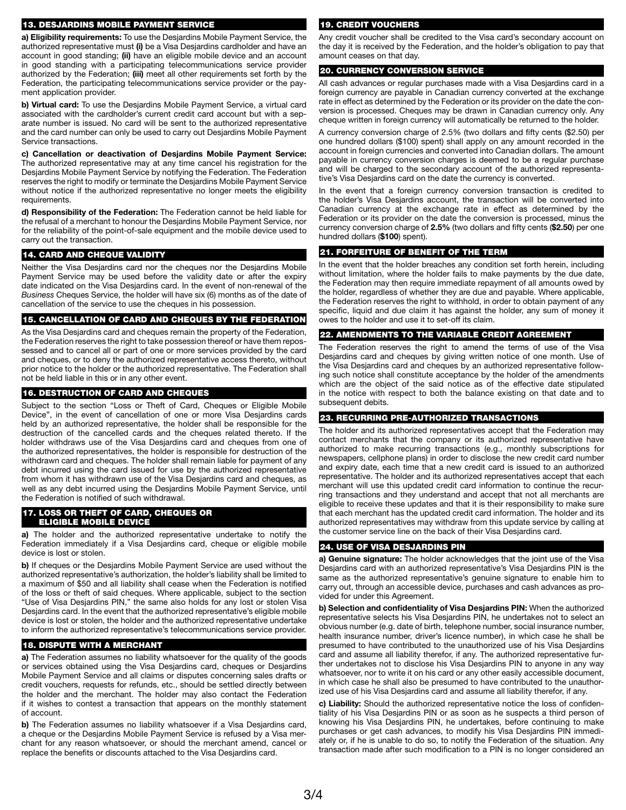#### 13. DESJARDINS MOBILE PAYMENT SERVICE

**a) Eligibility requirements:** To use the Desjardins Mobile Payment Service, the authorized representative must **(i)** be a Visa Desjardins cardholder and have an account in good standing; **(ii)** have an eligible mobile device and an account in good standing with a participating telecommunications service provider authorized by the Federation; **(iii)** meet all other requirements set forth by the Federation, the participating telecommunications service provider or the payment application provider.

**b) Virtual card:** To use the Desjardins Mobile Payment Service, a virtual card associated with the cardholder's current credit card account but with a separate number is issued. No card will be sent to the authorized representative and the card number can only be used to carry out Desjardins Mobile Payment Service transactions.

**c) Cancellation or deactivation of Desjardins Mobile Payment Service:**  The authorized representative may at any time cancel his registration for the Desjardins Mobile Payment Service by notifying the Federation. The Federation reserves the right to modify or terminate the Desjardins Mobile Payment Service without notice if the authorized representative no longer meets the eligibility requirements.

**d) Responsibility of the Federation:** The Federation cannot be held liable for the refusal of a merchant to honour the Desjardins Mobile Payment Service, nor for the reliability of the point-of-sale equipment and the mobile device used to carry out the transaction.

# 14. CARD AND CHEQUE VALIDITY

Neither the Visa Desjardins card nor the cheques nor the Desjardins Mobile Payment Service may be used before the validity date or after the expiry date indicated on the Visa Desjardins card. In the event of non-renewal of the *Business* Cheques Service, the holder will have six (6) months as of the date of cancellation of the service to use the cheques in his possession.

# 15. CANCELLATION OF CARD AND CHEQUES BY THE FEDERATION

As the Visa Desjardins card and cheques remain the property of the Federation, the Federation reserves the right to take possession thereof or have them repossessed and to cancel all or part of one or more services provided by the card and cheques, or to deny the authorized representative access thereto, without prior notice to the holder or the authorized representative. The Federation shall not be held liable in this or in any other event.

# 16. DESTRUCTION OF CARD AND CHEQUES

Subject to the section "Loss or Theft of Card, Cheques or Eligible Mobile Device", in the event of cancellation of one or more Visa Desjardins cards held by an authorized representative, the holder shall be responsible for the destruction of the cancelled cards and the cheques related thereto. If the holder withdraws use of the Visa Desjardins card and cheques from one of the authorized representatives, the holder is responsible for destruction of the withdrawn card and cheques. The holder shall remain liable for payment of any debt incurred using the card issued for use by the authorized representative from whom it has withdrawn use of the Visa Desjardins card and cheques, as well as any debt incurred using the Desjardins Mobile Payment Service, until the Federation is notified of such withdrawal.

### 17. LOSS OR THEFT OF CARD, CHEQUES OR ELIGIBLE MOBILE DEVICE

**a)** The holder and the authorized representative undertake to notify the Federation immediately if a Visa Desjardins card, cheque or eligible mobile device is lost or stolen.

**b)** If cheques or the Desjardins Mobile Payment Service are used without the authorized representative's authorization, the holder's liability shall be limited to a maximum of \$50 and all liability shall cease when the Federation is notified of the loss or theft of said cheques. Where applicable, subject to the section "Use of Visa Desjardins PIN," the same also holds for any lost or stolen Visa Desjardins card. In the event that the authorized representative's eligible mobile device is lost or stolen, the holder and the authorized representative undertake to inform the authorized representative's telecommunications service provider.

# 18. DISPUTE WITH A MERCHANT

**a)** The Federation assumes no liability whatsoever for the quality of the goods or services obtained using the Visa Desjardins card, cheques or Desjardins Mobile Payment Service and all claims or disputes concerning sales drafts or credit vouchers, requests for refunds, etc., should be settled directly between the holder and the merchant. The holder may also contact the Federation if it wishes to contest a transaction that appears on the monthly statement of account.

**b)** The Federation assumes no liability whatsoever if a Visa Desjardins card, a cheque or the Desjardins Mobile Payment Service is refused by a Visa merchant for any reason whatsoever, or should the merchant amend, cancel or replace the benefits or discounts attached to the Visa Desjardins card.

# 19. CREDIT VOUCHERS

Any credit voucher shall be credited to the Visa card's secondary account on the day it is received by the Federation, and the holder's obligation to pay that amount ceases on that day.

# 20. CURRENCY CONVERSION SERVICE

All cash advances or regular purchases made with a Visa Desjardins card in a foreign currency are payable in Canadian currency converted at the exchange rate in effect as determined by the Federation or its provider on the date the conversion is processed. Cheques may be drawn in Canadian currency only. Any cheque written in foreign currency will automatically be returned to the holder.

A currency conversion charge of 2.5% (two dollars and fifty cents (\$2.50) per one hundred dollars (\$100) spent) shall apply on any amount recorded in the account in foreign currencies and converted into Canadian dollars. The amount payable in currency conversion charges is deemed to be a regular purchase and will be charged to the secondary account of the authorized representative's Visa Desjardins card on the date the currency is converted.

In the event that a foreign currency conversion transaction is credited to the holder's Visa Desjardins account, the transaction will be converted into Canadian currency at the exchange rate in effect as determined by the Federation or its provider on the date the conversion is processed, minus the currency conversion charge of **2.5%** (two dollars and fifty cents (**\$2.50**) per one hundred dollars (**\$100**) spent).

# 21. FORFEITURE OF BENEFIT OF THE TERM

In the event that the holder breaches any condition set forth herein, including without limitation, where the holder fails to make payments by the due date, the Federation may then require immediate repayment of all amounts owed by the holder, regardless of whether they are due and payable. Where applicable, the Federation reserves the right to withhold, in order to obtain payment of any specific, liquid and due claim it has against the holder, any sum of money it owes to the holder and use it to set-off its claim.

# 22. AMENDMENTS TO THE VARIABLE CREDIT AGREEMENT

The Federation reserves the right to amend the terms of use of the Visa Desjardins card and cheques by giving written notice of one month. Use of the Visa Desjardins card and cheques by an authorized representative following such notice shall constitute acceptance by the holder of the amendments which are the object of the said notice as of the effective date stipulated in the notice with respect to both the balance existing on that date and to subsequent debits.

# 23. RECURRING PRE-AUTHORIZED TRANSACTIONS

The holder and its authorized representatives accept that the Federation may contact merchants that the company or its authorized representative have authorized to make recurring transactions (e.g., monthly subscriptions for newspapers, cellphone plans) in order to disclose the new credit card number and expiry date, each time that a new credit card is issued to an authorized representative. The holder and its authorized representatives accept that each merchant will use this updated credit card information to continue the recurring transactions and they understand and accept that not all merchants are eligible to receive these updates and that it is their responsibility to make sure that each merchant has the updated credit card information. The holder and its authorized representatives may withdraw from this update service by calling at the customer service line on the back of their Visa Desjardins card.

# 24. USE OF VISA DESJARDINS PIN

**a) Genuine signature:** The holder acknowledges that the joint use of the Visa Desjardins card with an authorized representative's Visa Desjardins PIN is the same as the authorized representative's genuine signature to enable him to carry out, through an accessible device, purchases and cash advances as provided for under this Agreement.

**b) Selection and confidentiality of Visa Desjardins PIN:** When the authorized representative selects his Visa Desjardins PIN, he undertakes not to select an obvious number (e.g. date of birth, telephone number, social insurance number, health insurance number, driver's licence number), in which case he shall be presumed to have contributed to the unauthorized use of his Visa Desjardins card and assume all liability therefor, if any. The authorized representative further undertakes not to disclose his Visa Desjardins PIN to anyone in any way whatsoever, nor to write it on his card or any other easily accessible document, in which case he shall also be presumed to have contributed to the unauthorized use of his Visa Desjardins card and assume all liability therefor, if any.

**c) Liability:** Should the authorized representative notice the loss of confidentiality of his Visa Desjardins PIN or as soon as he suspects a third person of knowing his Visa Desjardins PIN, he undertakes, before continuing to make purchases or get cash advances, to modify his Visa Desjardins PIN immediately or, if he is unable to do so, to notify the Federation of the situation. Any transaction made after such modification to a PIN is no longer considered an